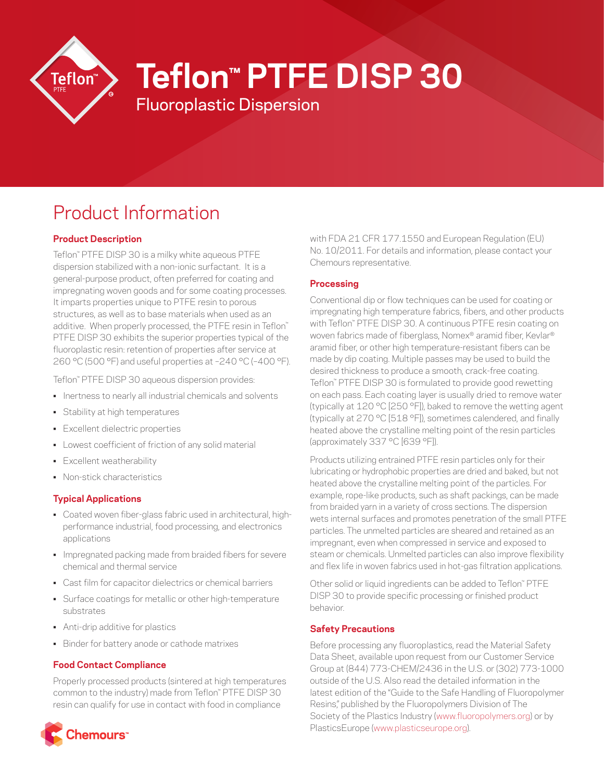

# **Teflon™ PTFE DISP 30**

Fluoroplastic Dispersion

# Product Information

# **Product Description**

Teflon™ PTFE DISP 30 is a milky white aqueous PTFE dispersion stabilized with a non-ionic surfactant. It is a general-purpose product, often preferred for coating and impregnating woven goods and for some coating processes. It imparts properties unique to PTFE resin to porous structures, as well as to base materials when used as an additive. When properly processed, the PTFE resin in Teflon™ PTFE DISP 30 exhibits the superior properties typical of the fluoroplastic resin: retention of properties after service at 260 °C (500 °F) and useful properties at –240 °C (–400 °F).

Teflon™ PTFE DISP 30 aqueous dispersion provides:

- Inertness to nearly all industrial chemicals and solvents
- Stability at high temperatures
- Excellent dielectric properties
- Lowest coefficient of friction of any solid material
- Excellent weatherability
- Non-stick characteristics

# **Typical Applications**

- Coated woven fiber-glass fabric used in architectural, highperformance industrial, food processing, and electronics applications
- Impregnated packing made from braided fibers for severe chemical and thermal service
- Cast film for capacitor dielectrics or chemical barriers
- Surface coatings for metallic or other high-temperature substrates
- Anti-drip additive for plastics
- Binder for battery anode or cathode matrixes

# **Food Contact Compliance**

Properly processed products (sintered at high temperatures common to the industry) made from Teflon™ PTFE DISP 30 resin can qualify for use in contact with food in compliance



with FDA 21 CFR 177.1550 and European Regulation (EU) No. 10/2011. For details and information, please contact your Chemours representative.

### **Processing**

Conventional dip or flow techniques can be used for coating or impregnating high temperature fabrics, fibers, and other products with Teflon™ PTFE DISP 30. A continuous PTFE resin coating on woven fabrics made of fiberglass, Nomex® aramid fiber, Kevlar® aramid fiber, or other high temperature-resistant fibers can be made by dip coating. Multiple passes may be used to build the desired thickness to produce a smooth, crack-free coating. Teflon™ PTFE DISP 30 is formulated to provide good rewetting on each pass. Each coating layer is usually dried to remove water (typically at 120 °C [250 °F]), baked to remove the wetting agent (typically at 270 °C [518 °F]), sometimes calendered, and finally heated above the crystalline melting point of the resin particles (approximately 337 °C [639 °F]).

Products utilizing entrained PTFE resin particles only for their lubricating or hydrophobic properties are dried and baked, but not heated above the crystalline melting point of the particles. For example, rope-like products, such as shaft packings, can be made from braided yarn in a variety of cross sections. The dispersion wets internal surfaces and promotes penetration of the small PTFE particles. The unmelted particles are sheared and retained as an impregnant, even when compressed in service and exposed to steam or chemicals. Unmelted particles can also improve flexibility and flex life in woven fabrics used in hot-gas filtration applications.

Other solid or liquid ingredients can be added to Teflon™ PTFE DISP 30 to provide specific processing or finished product behavior.

# **Safety Precautions**

Before processing any fluoroplastics, read the Material Safety Data Sheet, available upon request from our Customer Service Group at (844) 773-CHEM/2436 in the U.S. or (302) 773-1000 outside of the U.S. Also read the detailed information in the latest edition of the "Guide to the Safe Handling of Fluoropolymer Resins," published by the Fluoropolymers Division of The Society of the Plastics Industry [\(www.fluoropolymers.org\)](http://www.fluoropolymers.org) or by PlasticsEurope ([www.plasticseurope.org\)](http://www.plasticseurope.org).